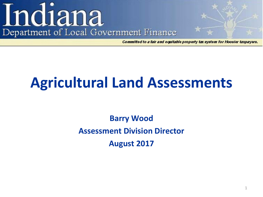# Indiana Department of Local Government Finance

**Committed to a fair and equitable property tax system for Hoosier taxpayers.** 

## **Agricultural Land Assessments**

**Barry Wood Assessment Division Director August 2017**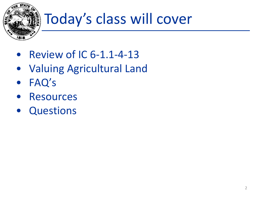

# Today's class will cover

- Review of IC 6-1.1-4-13
- Valuing Agricultural Land
- FAQ's
- **Resources**
- **Questions**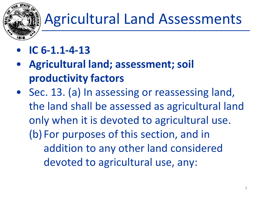

- **IC 6-1.1-4-13**
- **Agricultural land; assessment; soil productivity factors**
- Sec. 13. (a) In assessing or reassessing land, the land shall be assessed as agricultural land only when it is devoted to agricultural use. (b) For purposes of this section, and in addition to any other land considered devoted to agricultural use, any: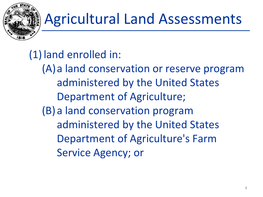

(1) land enrolled in:

(A)a land conservation or reserve program administered by the United States Department of Agriculture; (B)a land conservation program administered by the United States Department of Agriculture's Farm Service Agency; or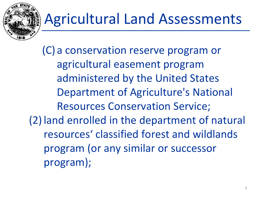

(C) a conservation reserve program or agricultural easement program administered by the United States Department of Agriculture's National Resources Conservation Service; (2) land enrolled in the department of natural resources' classified forest and wildlands program (or any similar or successor program);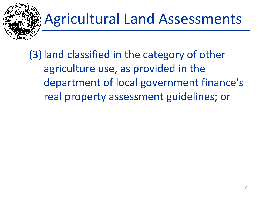

(3) land classified in the category of other agriculture use, as provided in the department of local government finance's real property assessment guidelines; or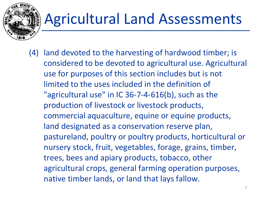(4) land devoted to the harvesting of hardwood timber; is considered to be devoted to agricultural use. Agricultural use for purposes of this section includes but is not limited to the uses included in the definition of "agricultural use" in IC 36-7-4-616(b), such as the production of livestock or livestock products, commercial aquaculture, equine or equine products, land designated as a conservation reserve plan, pastureland, poultry or poultry products, horticultural or nursery stock, fruit, vegetables, forage, grains, timber, trees, bees and apiary products, tobacco, other agricultural crops, general farming operation purposes, native timber lands, or land that lays fallow.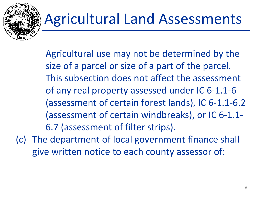

Agricultural use may not be determined by the size of a parcel or size of a part of the parcel. This subsection does not affect the assessment of any real property assessed under IC 6-1.1-6 (assessment of certain forest lands), IC 6-1.1-6.2 (assessment of certain windbreaks), or IC 6-1.1- 6.7 (assessment of filter strips). (c) The department of local government finance shall

give written notice to each county assessor of: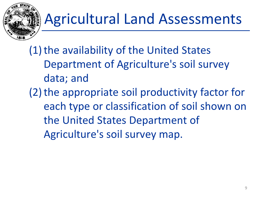

(1) the availability of the United States Department of Agriculture's soil survey data; and (2) the appropriate soil productivity factor for each type or classification of soil shown on the United States Department of Agriculture's soil survey map.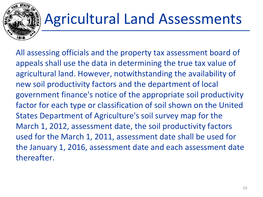

All assessing officials and the property tax assessment board of appeals shall use the data in determining the true tax value of agricultural land. However, notwithstanding the availability of new soil productivity factors and the department of local government finance's notice of the appropriate soil productivity factor for each type or classification of soil shown on the United States Department of Agriculture's soil survey map for the March 1, 2012, assessment date, the soil productivity factors used for the March 1, 2011, assessment date shall be used for the January 1, 2016, assessment date and each assessment date thereafter.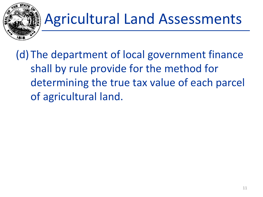

(d) The department of local government finance shall by rule provide for the method for determining the true tax value of each parcel of agricultural land.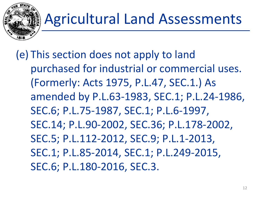

(e) This section does not apply to land purchased for industrial or commercial uses. (Formerly: Acts 1975, P.L.47, SEC.1.) As amended by P.L.63-1983, SEC.1; P.L.24-1986, SEC.6; P.L.75-1987, SEC.1; P.L.6-1997, SEC.14; P.L.90-2002, SEC.36; P.L.178-2002, SEC.5; P.L.112-2012, SEC.9; P.L.1-2013, SEC.1; P.L.85-2014, SEC.1; P.L.249-2015, SEC.6; P.L.180-2016, SEC.3.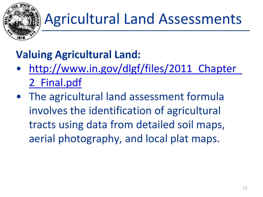

## **Valuing Agricultural Land:**

- http://www.in.gov/dlgf/files/2011 Chapter 2\_Final.pdf
- The agricultural land assessment formula involves the identification of agricultural tracts using data from detailed soil maps, aerial photography, and local plat maps.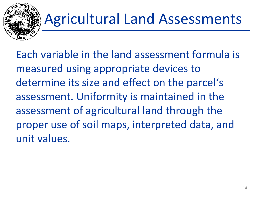

Each variable in the land assessment formula is measured using appropriate devices to determine its size and effect on the parcel's assessment. Uniformity is maintained in the assessment of agricultural land through the proper use of soil maps, interpreted data, and unit values.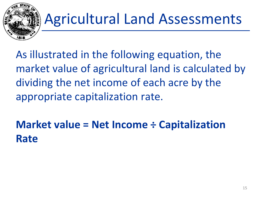

As illustrated in the following equation, the market value of agricultural land is calculated by dividing the net income of each acre by the appropriate capitalization rate.

**Market value = Net Income ÷ Capitalization Rate**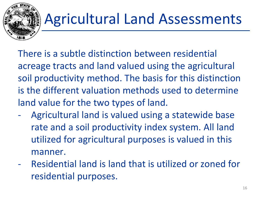

There is a subtle distinction between residential acreage tracts and land valued using the agricultural soil productivity method. The basis for this distinction is the different valuation methods used to determine land value for the two types of land.

- Agricultural land is valued using a statewide base rate and a soil productivity index system. All land utilized for agricultural purposes is valued in this manner.
- Residential land is land that is utilized or zoned for residential purposes.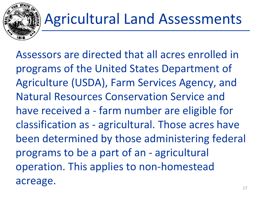

Assessors are directed that all acres enrolled in programs of the United States Department of Agriculture (USDA), Farm Services Agency, and Natural Resources Conservation Service and have received a - farm number are eligible for classification as - agricultural. Those acres have been determined by those administering federal programs to be a part of an - agricultural operation. This applies to non-homestead acreage.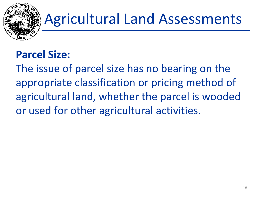

### **Parcel Size:**

The issue of parcel size has no bearing on the appropriate classification or pricing method of agricultural land, whether the parcel is wooded or used for other agricultural activities.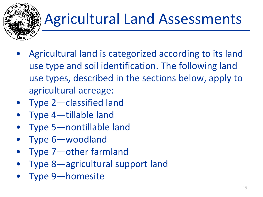

- Agricultural land is categorized according to its land use type and soil identification. The following land use types, described in the sections below, apply to agricultural acreage:
- Type 2—classified land
- Type 4—tillable land
- Type 5—nontillable land
- Type 6—woodland
- Type 7—other farmland
- Type 8—agricultural support land
- Type 9—homesite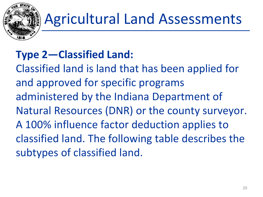

## **Type 2—Classified Land:**

Classified land is land that has been applied for and approved for specific programs administered by the Indiana Department of Natural Resources (DNR) or the county surveyor. A 100% influence factor deduction applies to classified land. The following table describes the subtypes of classified land.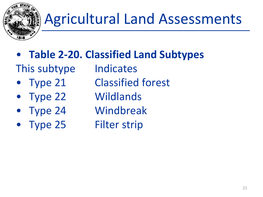

- **Table 2-20. Classified Land Subtypes**
- This subtype Indicates
- 
- 
- 
- Type 25 Filter strip
- 
- Type 21 Classified forest
- Type 22 Wildlands
	- Type 24 Windbreak
		-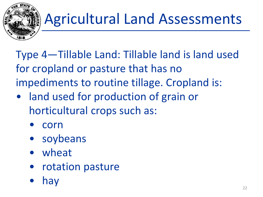

Type 4—Tillable Land: Tillable land is land used for cropland or pasture that has no impediments to routine tillage. Cropland is:

- land used for production of grain or horticultural crops such as:
	- corn
	- soybeans
	- wheat
	- rotation pasture
	- hay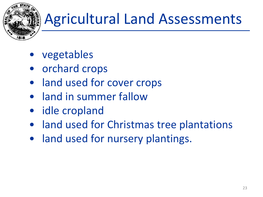

- vegetables
- orchard crops
- land used for cover crops
- land in summer fallow
- idle cropland
- land used for Christmas tree plantations
- land used for nursery plantings.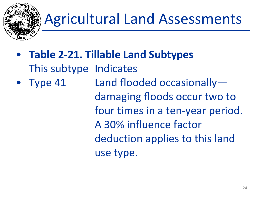

- **Table 2-21. Tillable Land Subtypes**  This subtype Indicates
- Type 41 Land flooded occasionally damaging floods occur two to four times in a ten-year period. A 30% influence factor deduction applies to this land use type.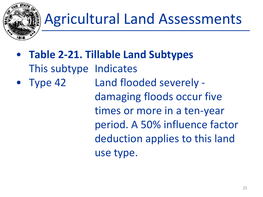

- **Table 2-21. Tillable Land Subtypes**  This subtype Indicates
- Type 42 Land flooded severely damaging floods occur five times or more in a ten-year period. A 50% influence factor deduction applies to this land use type.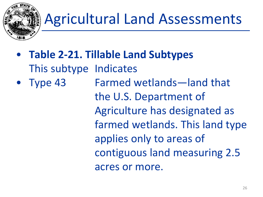

- **Table 2-21. Tillable Land Subtypes**  This subtype Indicates
- Type 43 Farmed wetlands—land that the U.S. Department of Agriculture has designated as farmed wetlands. This land type applies only to areas of contiguous land measuring 2.5 acres or more.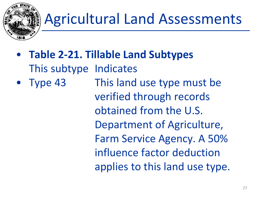

- **Table 2-21. Tillable Land Subtypes**  This subtype Indicates
- Type 43 This land use type must be verified through records obtained from the U.S. Department of Agriculture, Farm Service Agency. A 50% influence factor deduction applies to this land use type.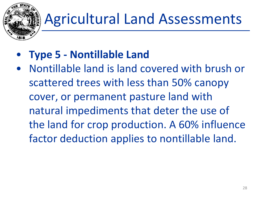

- **Type 5 - Nontillable Land**
- Nontillable land is land covered with brush or scattered trees with less than 50% canopy cover, or permanent pasture land with natural impediments that deter the use of the land for crop production. A 60% influence factor deduction applies to nontillable land.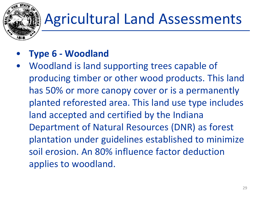

#### • **Type 6 - Woodland**

• Woodland is land supporting trees capable of producing timber or other wood products. This land has 50% or more canopy cover or is a permanently planted reforested area. This land use type includes land accepted and certified by the Indiana Department of Natural Resources (DNR) as forest plantation under guidelines established to minimize soil erosion. An 80% influence factor deduction applies to woodland.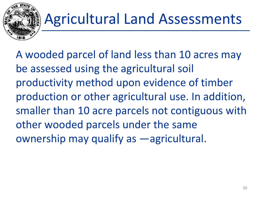

A wooded parcel of land less than 10 acres may be assessed using the agricultural soil productivity method upon evidence of timber production or other agricultural use. In addition, smaller than 10 acre parcels not contiguous with other wooded parcels under the same ownership may qualify as ―agricultural.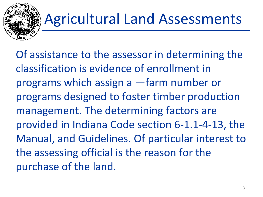

Of assistance to the assessor in determining the classification is evidence of enrollment in programs which assign a ―farm number or programs designed to foster timber production management. The determining factors are provided in Indiana Code section 6-1.1-4-13, the Manual, and Guidelines. Of particular interest to the assessing official is the reason for the purchase of the land.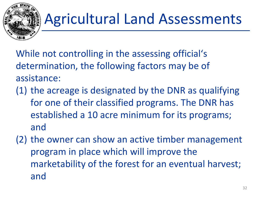

While not controlling in the assessing official's determination, the following factors may be of assistance:

- (1) the acreage is designated by the DNR as qualifying for one of their classified programs. The DNR has established a 10 acre minimum for its programs; and
- (2) the owner can show an active timber management program in place which will improve the marketability of the forest for an eventual harvest; and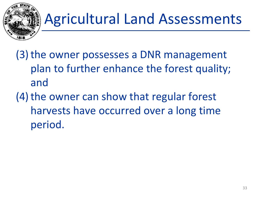

- (3)the owner possesses a DNR management plan to further enhance the forest quality; and
- $(4)$  the owner can show that regular forest harvests have occurred over a long time period.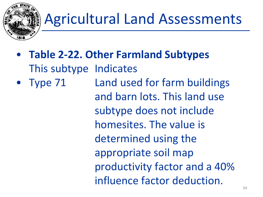

- **Table 2-22. Other Farmland Subtypes**  This subtype Indicates
- Type 71 Land used for farm buildings and barn lots. This land use subtype does not include homesites. The value is determined using the appropriate soil map productivity factor and a 40% influence factor deduction.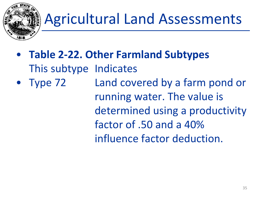

- **Table 2-22. Other Farmland Subtypes**  This subtype Indicates
- Type 72 Land covered by a farm pond or running water. The value is determined using a productivity factor of .50 and a 40% influence factor deduction.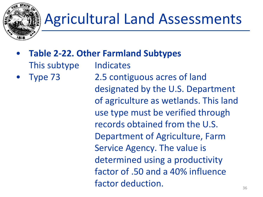

- **Table 2-22. Other Farmland Subtypes** 
	- This subtype Indicates
- 

• Type 73 2.5 contiguous acres of land designated by the U.S. Department of agriculture as wetlands. This land use type must be verified through records obtained from the U.S. Department of Agriculture, Farm Service Agency. The value is determined using a productivity factor of .50 and a 40% influence factor deduction.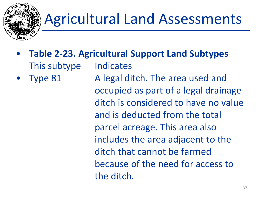

- **Table 2-23. Agricultural Support Land Subtypes** This subtype Indicates
- Type 81 A legal ditch. The area used and occupied as part of a legal drainage ditch is considered to have no value and is deducted from the total parcel acreage. This area also includes the area adjacent to the ditch that cannot be farmed because of the need for access to the ditch.  $\frac{37}{37}$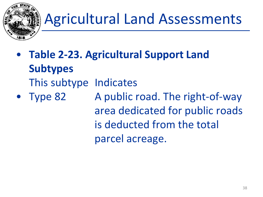

- **Table 2-23. Agricultural Support Land Subtypes**  This subtype Indicates
- Type 82 A public road. The right-of-way area dedicated for public roads is deducted from the total parcel acreage.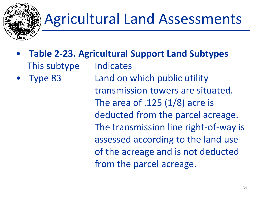

- **Table 2-23. Agricultural Support Land Subtypes** This subtype Indicates
- Type 83 Land on which public utility transmission towers are situated. The area of  $.125(1/8)$  acre is deducted from the parcel acreage. The transmission line right-of-way is assessed according to the land use of the acreage and is not deducted from the parcel acreage.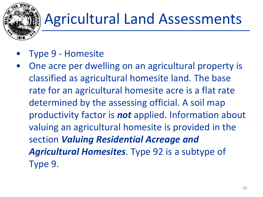- Type 9 Homesite
- One acre per dwelling on an agricultural property is classified as agricultural homesite land. The base rate for an agricultural homesite acre is a flat rate determined by the assessing official. A soil map productivity factor is *not* applied. Information about valuing an agricultural homesite is provided in the section *Valuing Residential Acreage and Agricultural Homesites*. Type 92 is a subtype of Type 9.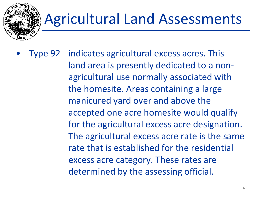

• Type 92 indicates agricultural excess acres. This land area is presently dedicated to a nonagricultural use normally associated with the homesite. Areas containing a large manicured yard over and above the accepted one acre homesite would qualify for the agricultural excess acre designation. The agricultural excess acre rate is the same rate that is established for the residential excess acre category. These rates are determined by the assessing official.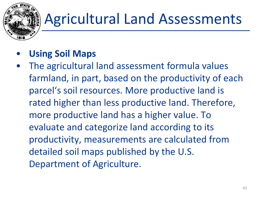#### • **Using Soil Maps**

The agricultural land assessment formula values farmland, in part, based on the productivity of each parcel's soil resources. More productive land is rated higher than less productive land. Therefore, more productive land has a higher value. To evaluate and categorize land according to its productivity, measurements are calculated from detailed soil maps published by the U.S. Department of Agriculture.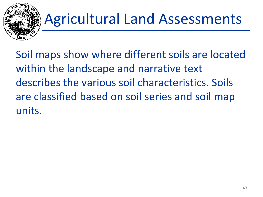

Soil maps show where different soils are located within the landscape and narrative text describes the various soil characteristics. Soils are classified based on soil series and soil map units.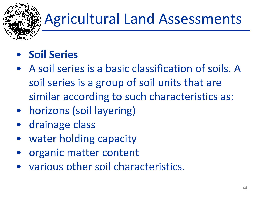

#### • **Soil Series**

- A soil series is a basic classification of soils. A soil series is a group of soil units that are similar according to such characteristics as:
- horizons (soil layering)
- drainage class
- water holding capacity
- organic matter content
- various other soil characteristics.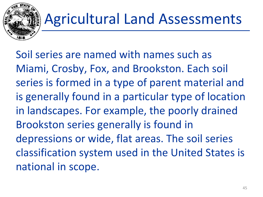

Soil series are named with names such as Miami, Crosby, Fox, and Brookston. Each soil series is formed in a type of parent material and is generally found in a particular type of location in landscapes. For example, the poorly drained Brookston series generally is found in depressions or wide, flat areas. The soil series classification system used in the United States is national in scope.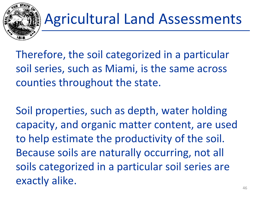

Therefore, the soil categorized in a particular soil series, such as Miami, is the same across counties throughout the state.

Soil properties, such as depth, water holding capacity, and organic matter content, are used to help estimate the productivity of the soil. Because soils are naturally occurring, not all soils categorized in a particular soil series are exactly alike.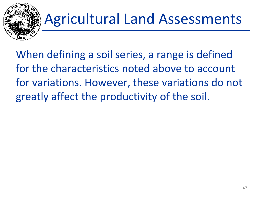

When defining a soil series, a range is defined for the characteristics noted above to account for variations. However, these variations do not greatly affect the productivity of the soil.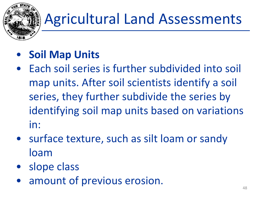

- **Soil Map Units**
- Each soil series is further subdivided into soil map units. After soil scientists identify a soil series, they further subdivide the series by identifying soil map units based on variations in:
- surface texture, such as silt loam or sandy loam
- slope class
- amount of previous erosion.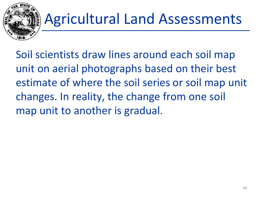

Soil scientists draw lines around each soil map unit on aerial photographs based on their best estimate of where the soil series or soil map unit changes. In reality, the change from one soil map unit to another is gradual.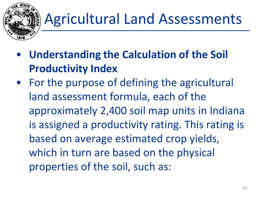

- **Understanding the Calculation of the Soil Productivity Index**
- For the purpose of defining the agricultural land assessment formula, each of the approximately 2,400 soil map units in Indiana is assigned a productivity rating. This rating is based on average estimated crop yields, which in turn are based on the physical properties of the soil, such as: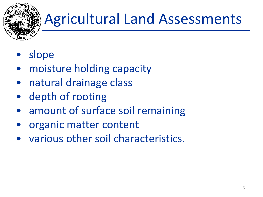

- slope
- moisture holding capacity
- natural drainage class
- depth of rooting
- amount of surface soil remaining
- organic matter content
- various other soil characteristics.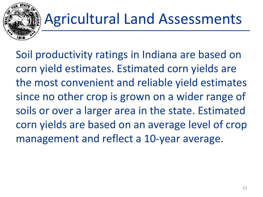

Soil productivity ratings in Indiana are based on corn yield estimates. Estimated corn yields are the most convenient and reliable yield estimates since no other crop is grown on a wider range of soils or over a larger area in the state. Estimated corn yields are based on an average level of crop management and reflect a 10-year average.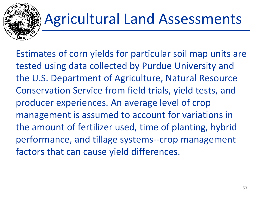

Estimates of corn yields for particular soil map units are tested using data collected by Purdue University and the U.S. Department of Agriculture, Natural Resource Conservation Service from field trials, yield tests, and producer experiences. An average level of crop management is assumed to account for variations in the amount of fertilizer used, time of planting, hybrid performance, and tillage systems--crop management factors that can cause yield differences.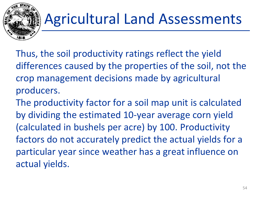

- Thus, the soil productivity ratings reflect the yield differences caused by the properties of the soil, not the crop management decisions made by agricultural producers.
- The productivity factor for a soil map unit is calculated by dividing the estimated 10-year average corn yield (calculated in bushels per acre) by 100. Productivity factors do not accurately predict the actual yields for a particular year since weather has a great influence on actual yields.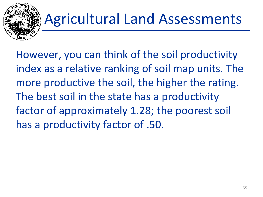

However, you can think of the soil productivity index as a relative ranking of soil map units. The more productive the soil, the higher the rating. The best soil in the state has a productivity factor of approximately 1.28; the poorest soil has a productivity factor of .50.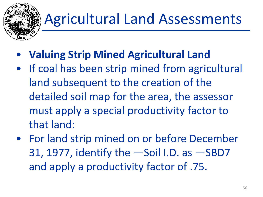- **Valuing Strip Mined Agricultural Land**
- If coal has been strip mined from agricultural land subsequent to the creation of the detailed soil map for the area, the assessor must apply a special productivity factor to that land:
- For land strip mined on or before December 31, 1977, identify the ―Soil I.D. as ―SBD7 and apply a productivity factor of .75.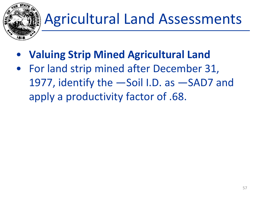

- **Valuing Strip Mined Agricultural Land**
- For land strip mined after December 31, 1977, identify the ―Soil I.D. as ―SAD7 and apply a productivity factor of .68.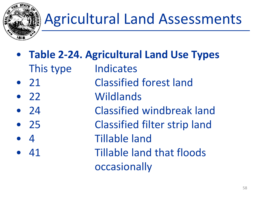

- **Table 2-24. Agricultural Land Use Types**  This type Indicates
- 21 Classified forest land
- 22 Wildlands
- 24 Classified windbreak land
- 25 Classified filter strip land
- 4 Tillable land
- 41 Tillable land that floods occasionally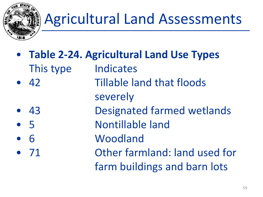

- **Table 2-24. Agricultural Land Use Types**  This type Indicates • 42 Tillable land that floods
- severely
	- 43 **Designated farmed wetlands**
- 5 Nontillable land
- 6 Woodland
- 71 Other farmland: land used for farm buildings and barn lots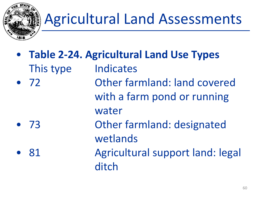

• **Table 2-24. Agricultural Land Use Types**  This type Indicates • 72 Other farmland: land covered with a farm pond or running water • 73 Other farmland: designated wetlands 81 **Agricultural support land: legal** ditch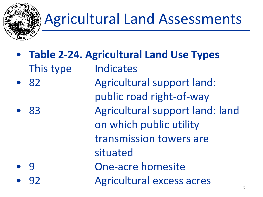

• **Table 2-24. Agricultural Land Use Types**  This type Indicates • 82 Agricultural support land: public road right-of-way • 83 Agricultural support land: land on which public utility transmission towers are situated • 9 One-acre homesite • 92 Agricultural excess acres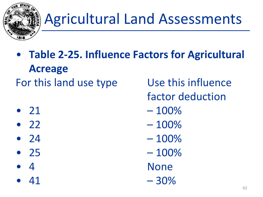

- **Table 2-25. Influence Factors for Agricultural Acreage**  For this land use type Use this influence
- 
- 
- 
- 
- 
- 
- factor deduction
- 21 100%
- 22  $-100\%$
- 24  $100\%$
- 25  $-100\%$ 
	- example and the set of the set of the None set of the None set of the None set of the None set of the None set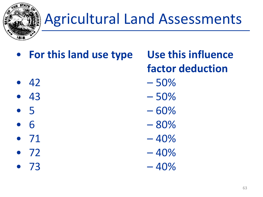

- **For this land use type Use this influence** 
	- **factor deduction**
- 42 50%
- $43 50\%$
- $5 60\%$
- $6 80\%$
- 
- 
- 
- 
- 
- 
- $71 40\%$
- $72 40%$
- $73 40%$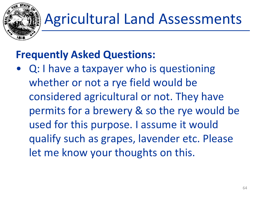

#### **Frequently Asked Questions:**

• Q: I have a taxpayer who is questioning whether or not a rye field would be considered agricultural or not. They have permits for a brewery & so the rye would be used for this purpose. I assume it would qualify such as grapes, lavender etc. Please let me know your thoughts on this.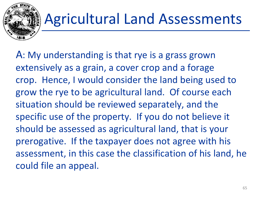

A: My understanding is that rye is a grass grown extensively as a grain, a cover crop and a forage crop. Hence, I would consider the land being used to grow the rye to be agricultural land. Of course each situation should be reviewed separately, and the specific use of the property. If you do not believe it should be assessed as agricultural land, that is your prerogative. If the taxpayer does not agree with his assessment, in this case the classification of his land, he could file an appeal.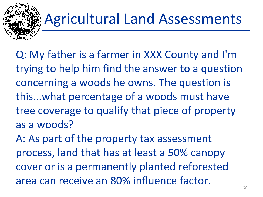

Q: My father is a farmer in XXX County and I'm trying to help him find the answer to a question concerning a woods he owns. The question is this...what percentage of a woods must have tree coverage to qualify that piece of property as a woods?

A: As part of the property tax assessment process, land that has at least a 50% canopy cover or is a permanently planted reforested area can receive an 80% influence factor.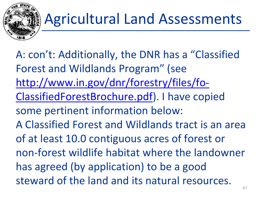

A: con't: Additionally, the DNR has a "Classified Forest and Wildlands Program" (see [http://www.in.gov/dnr/forestry/files/fo-](http://www.in.gov/dnr/forestry/files/fo-ClassifiedForestBrochure.pdf)ClassifiedForestBrochure.pdf). I have copied some pertinent information below: A Classified Forest and Wildlands tract is an area of at least 10.0 contiguous acres of forest or non-forest wildlife habitat where the landowner has agreed (by application) to be a good steward of the land and its natural resources.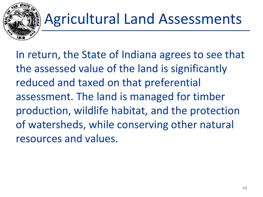

In return, the State of Indiana agrees to see that the assessed value of the land is significantly reduced and taxed on that preferential assessment. The land is managed for timber production, wildlife habitat, and the protection of watersheds, while conserving other natural resources and values.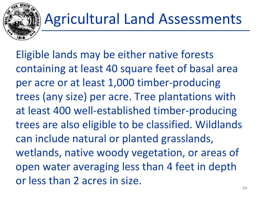

Eligible lands may be either native forests containing at least 40 square feet of basal area per acre or at least 1,000 timber-producing trees (any size) per acre. Tree plantations with at least 400 well-established timber-producing trees are also eligible to be classified. Wildlands can include natural or planted grasslands, wetlands, native woody vegetation, or areas of open water averaging less than 4 feet in depth or less than 2 acres in size.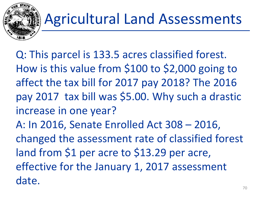

Q: This parcel is 133.5 acres classified forest. How is this value from \$100 to \$2,000 going to affect the tax bill for 2017 pay 2018? The 2016 pay 2017 tax bill was \$5.00. Why such a drastic increase in one year? A: In 2016, Senate Enrolled Act 308 – 2016, changed the assessment rate of classified forest land from \$1 per acre to \$13.29 per acre, effective for the January 1, 2017 assessment date.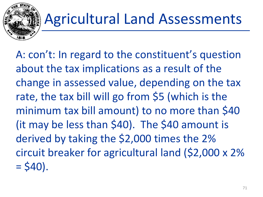

A: con't: In regard to the constituent's question about the tax implications as a result of the change in assessed value, depending on the tax rate, the tax bill will go from \$5 (which is the minimum tax bill amount) to no more than \$40 (it may be less than \$40). The \$40 amount is derived by taking the \$2,000 times the 2% circuit breaker for agricultural land (\$2,000 x 2%  $=$  \$40).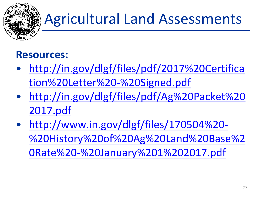

#### **Resources:**

- [http://in.gov/dlgf/files/pdf/2017%20Certifica](http://in.gov/dlgf/files/pdf/2017%20Certification%20Letter%20-%20Signed.pdf) tion%20Letter%20-%20Signed.pdf
- [http://in.gov/dlgf/files/pdf/Ag%20Packet%20](http://in.gov/dlgf/files/pdf/Ag%20Packet%202017.pdf) 2017.pdf
- http://www.in.gov/dlgf/files/170504%20- [%20History%20of%20Ag%20Land%20Base%2](http://www.in.gov/dlgf/files/170504%20-%20History%20of%20Ag%20Land%20Base%20Rate%20-%20January%201%202017.pdf) 0Rate%20-%20January%201%202017.pdf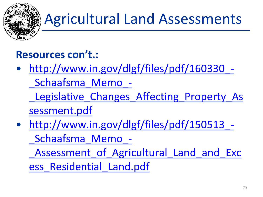

# Agricultural Land Assessments

#### **Resources con't.:**

• http://www.in.gov/dlgf/files/pdf/160330\_- \_Schaafsma\_Memo\_-

Legislative Changes Affecting Property As sessment.pdf

• http://www.in.gov/dlgf/files/pdf/150513 -\_Schaafsma\_Memo\_-

Assessment of Agricultural Land and Exc

ess\_Residential\_Land.pdf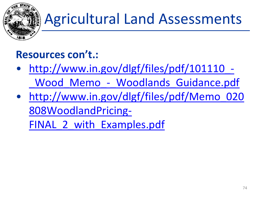

# Agricultural Land Assessments

#### **Resources con't.:**

- http://www.in.gov/dlgf/files/pdf/101110\_- Wood Memo - Woodlands Guidance.pdf
- [http://www.in.gov/dlgf/files/pdf/Memo\\_020](http://www.in.gov/dlgf/files/pdf/Memo_020808WoodlandPricing-FINAL_2_with_Examples.pdf) 808WoodlandPricing-

FINAL 2 with Examples.pdf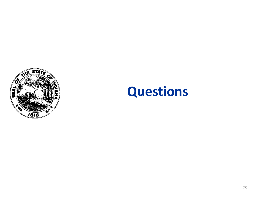

### **Questions**